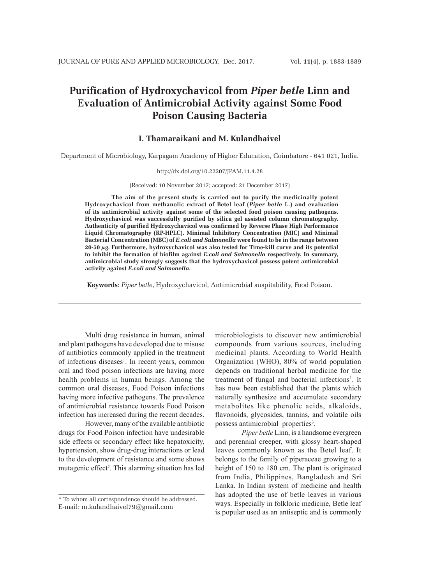# **Purification of Hydroxychavicol from** *Piper betle* **Linn and Evaluation of Antimicrobial Activity against Some Food Poison Causing Bacteria**

# **I. Thamaraikani and M. Kulandhaivel**

Department of Microbiology, Karpagam Academy of Higher Education, Coimbatore - 641 021, India.

#### http://dx.doi.org/10.22207/JPAM.11.4.28

(Received: 10 November 2017; accepted: 21 December 2017)

**The aim of the present study is carried out to purify the medicinally potent Hydroxychavicol from methanolic extract of Betel leaf (***Piper betle* **L.) and evaluation of its antimicrobial activity against some of the selected food poison causing pathogens. Hydroxychavicol was successfully purified by silica gel assisted column chromatography. Authenticity of purified Hydroxychavicol was confirmed by Reverse Phase High Performance Liquid Chromatography (RP-HPLC). Minimal Inhibitory Concentration (MIC) and Minimal Bacterial Concentration (MBC) of** *E.coli and Salmonella* **were found to be in the range between 20-50 µg. Furthermore, hydroxychavicol was also tested for Time-kill curve and its potential to inhibit the formation of biofilm against** *E.coli and Salmonella* **respectively. In summary, antimicrobial study strongly suggests that the hydroxychavicol possess potent antimicrobial activity against** *E.coli and Salmonella***.** 

**Keywords**: *Piper betle*, Hydroxychavicol, Antimicrobial suspitability, Food Poison.

Multi drug resistance in human, animal and plant pathogens have developed due to misuse of antibiotics commonly applied in the treatment of infectious diseases<sup>1</sup>. In recent years, common oral and food poison infections are having more health problems in human beings. Among the common oral diseases, Food Poison infections having more infective pathogens. The prevalence of antimicrobial resistance towards Food Poison infection has increased during the recent decades.

However, many of the available antibiotic drugs for Food Poison infection have undesirable side effects or secondary effect like hepatoxicity, hypertension, show drug-drug interactions or lead to the development of resistance and some shows mutagenic effect<sup>2</sup>. This alarming situation has led microbiologists to discover new antimicrobial compounds from various sources, including medicinal plants. According to World Health Organization (WHO), 80% of world population depends on traditional herbal medicine for the treatment of fungal and bacterial infections<sup>1</sup>. It has now been established that the plants which naturally synthesize and accumulate secondary metabolites like phenolic acids, alkaloids, flavonoids, glycosides, tannins, and volatile oils possess antimicrobial properties<sup>3</sup>.

*Piper betle* Linn, is a handsome evergreen and perennial creeper, with glossy heart-shaped leaves commonly known as the Betel leaf. It belongs to the family of piperaceae growing to a height of 150 to 180 cm. The plant is originated from India, Philippines, Bangladesh and Sri Lanka. In Indian system of medicine and health has adopted the use of betle leaves in various ways. Especially in folkloric medicine, Betle leaf is popular used as an antiseptic and is commonly

<sup>\*</sup> To whom all correspondence should be addressed. E-mail: m.kulandhaivel79@gmail.com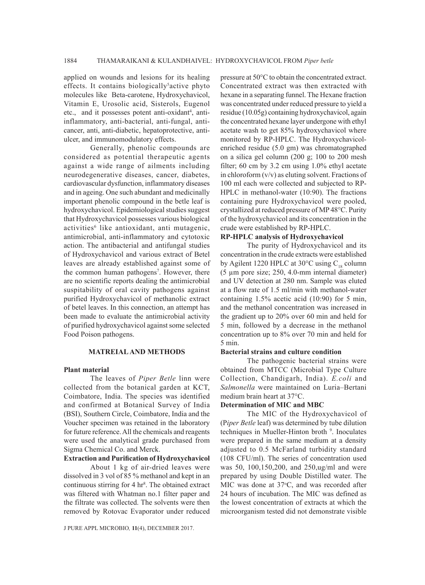applied on wounds and lesions for its healing effects. It contains biologically<sup>5</sup> active phyto molecules like Beta-carotene, Hydroxychavicol, Vitamin E, Urosolic acid, Sisterols, Eugenol etc., and it possesses potent anti-oxidant<sup>4</sup>, antiinflammatory, anti-bacterial, anti-fungal, anticancer, anti, anti-diabetic, hepatoprotective, antiulcer, and immunomodulatory effects.

Generally, phenolic compounds are considered as potential therapeutic agents against a wide range of ailments including neurodegenerative diseases, cancer, diabetes, cardiovascular dysfunction, inflammatory diseases and in ageing. One such abundant and medicinally important phenolic compound in the betle leaf is hydroxychavicol. Epidemiological studies suggest that Hydroxychavicol possesses various biological activities<sup>6</sup> like antioxidant, anti mutagenic, antimicrobial, anti-inflammatory and cytotoxic action. The antibacterial and antifungal studies of Hydroxychavicol and various extract of Betel leaves are already established against some of the common human pathogens<sup>7</sup>. However, there are no scientific reports dealing the antimicrobial suspitability of oral cavity pathogens against purified Hydroxychavicol of methanolic extract of betel leaves. In this connection, an attempt has been made to evaluate the antimicrobial activity of purified hydroxychavicol against some selected Food Poison pathogens.

## **MATREIAL AND METHODS**

#### **Plant material**

The leaves of *Piper Betle* linn were collected from the botanical garden at KCT, Coimbatore, India. The species was identified and confirmed at Botanical Survey of India (BSI), Southern Circle, Coimbatore, India and the Voucher specimen was retained in the laboratory for future reference. All the chemicals and reagents were used the analytical grade purchased from Sigma Chemical Co. and Merck.

### **Extraction and Purification of Hydroxychavicol**

About 1 kg of air-dried leaves were dissolved in 3 vol of 85 % methanol and kept in an continuous stirring for 4 hr<sup>8</sup>. The obtained extract was filtered with Whatman no.1 filter paper and the filtrate was collected. The solvents were then removed by Rotovac Evaporator under reduced

J PURE APPL MICROBIO*,* **11**(4), DECEMBER 2017.

pressure at 50°C to obtain the concentrated extract. Concentrated extract was then extracted with hexane in a separating funnel. The Hexane fraction was concentrated under reduced pressure to yield a residue (10.05g) containing hydroxychavicol, again the concentrated hexane layer undergone with ethyl acetate wash to get 85% hydroxychavicol where monitored by RP-HPLC. The Hydroxychavicolenriched residue (5.0 gm) was chromatographed on a silica gel column (200 g; 100 to 200 mesh filter; 60 cm by 3.2 cm using 1.0% ethyl acetate in chloroform (v/v) as eluting solvent. Fractions of 100 ml each were collected and subjected to RP-HPLC in methanol-water (10:90). The fractions containing pure Hydroxychavicol were pooled, crystallized at reduced pressure of MP 48°C. Purity of the hydroxychavicol and its concentration in the crude were established by RP-HPLC.

#### **RP-HPLC analysis of Hydroxychavicol**

The purity of Hydroxychavicol and its concentration in the crude extracts were established by Agilent 1220 HPLC at 30 $^{\circ}$ C using C<sub>18</sub> column (5 µm pore size; 250, 4.0-mm internal diameter) and UV detection at 280 nm. Sample was eluted at a flow rate of 1.5 ml/min with methanol-water containing 1.5% acetic acid (10:90) for 5 min, and the methanol concentration was increased in the gradient up to 20% over 60 min and held for 5 min, followed by a decrease in the methanol concentration up to 8% over 70 min and held for 5 min.

#### **Bacterial strains and culture condition**

The pathogenic bacterial strains were obtained from MTCC (Microbial Type Culture Collection, Chandigarh, India). *E.coli* and *Salmonella* were maintained on Luria–Bertani medium brain heart at 37°C.

#### **Determination of MIC and MBC**

The MIC of the Hydroxychavicol of (P*iper Betle* leaf) was determined by tube dilution techniques in Mueller-Hinton broth<sup>9</sup>. Inoculates were prepared in the same medium at a density adjusted to 0.5 McFarland turbidity standard (108 CFU/ml). The series of concentration used was 50, 100,150,200, and 250,ug/ml and were prepared by using Double Distilled water. The MIC was done at 37°C, and was recorded after 24 hours of incubation. The MIC was defined as the lowest concentration of extracts at which the microorganism tested did not demonstrate visible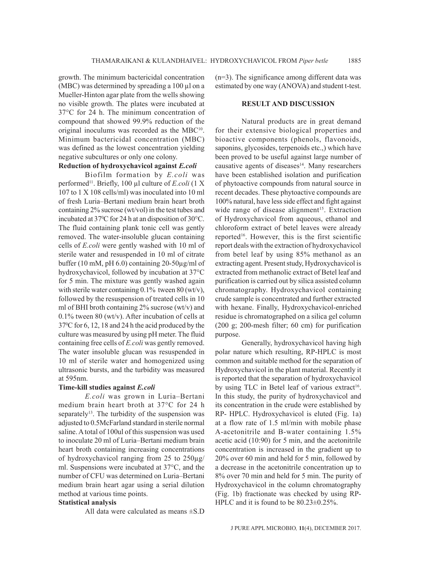growth. The minimum bactericidal concentration (MBC) was determined by spreading a 100 µl on a Mueller-Hinton agar plate from the wells showing no visible growth. The plates were incubated at 37°C for 24 h. The minimum concentration of compound that showed 99.9% reduction of the original inoculums was recorded as the MBC<sup>10</sup>. Minimum bactericidal concentration (MBC) was defined as the lowest concentration yielding negative subcultures or only one colony.

# **Reduction of hydroxychavicol against** *E.coli*

Biofilm formation by *E.coli* was performed11. Briefly, 100 µl culture of *E.coli* (1 X 107 to 1 X 108 cells/ml) was inoculated into 10 ml of fresh Luria–Bertani medium brain heart broth containing 2% sucrose (wt/vol) in the test tubes and incubated at 370 C for 24 h at an disposition of 30°C. The fluid containing plank tonic cell was gently removed. The water-insoluble glucan containing cells of *E.coli* were gently washed with 10 ml of sterile water and resuspended in 10 ml of citrate buffer (10 mM, pH 6.0) containing 20-50µg/ml of hydroxychavicol, followed by incubation at 37°C for 5 min. The mixture was gently washed again with sterile water containing  $0.1\%$  tween  $80$  (wt/v), followed by the resuspension of treated cells in 10 ml of BHI broth containing 2% sucrose (wt/v) and 0.1% tween 80 (wt/v). After incubation of cells at 370 C for 6, 12, 18 and 24 h the acid produced by the culture was measured by using pH meter. The fluid containing free cells of *E.coli* was gently removed. The water insoluble glucan was resuspended in 10 ml of sterile water and homogenized using ultrasonic bursts, and the turbidity was measured at 595nm.

#### **Time-kill studies against** *E.coli*

*E.coli* was grown in Luria–Bertani medium brain heart broth at 37°C for 24 h separately<sup>13</sup>. The turbidity of the suspension was adjusted to 0.5McFarland standard in sterile normal saline. A total of 100ul of this suspension was used to inoculate 20 ml of Luria–Bertani medium brain heart broth containing increasing concentrations of hydroxychavicol ranging from 25 to 250µg/ ml. Suspensions were incubated at 37°C, and the number of CFU was determined on Luria–Bertani medium brain heart agar using a serial dilution method at various time points.

# **Statistical analysis**

All data were calculated as means ±S.D

(n=3). The significance among different data was estimated by one way (ANOVA) and student t-test.

#### **RESULT AND DISCUSSION**

Natural products are in great demand for their extensive biological properties and bioactive components (phenols, flavonoids, saponins, glycosides, terpenoids etc.,) which have been proved to be useful against large number of causative agents of diseases<sup>14</sup>. Many researchers have been established isolation and purification of phytoactive compounds from natural source in recent decades. These phytoactive compounds are 100% natural, have less side effect and fight against wide range of disease alignment<sup>15</sup>. Extraction of Hydroxychavicol from aqueous, ethanol and chloroform extract of betel leaves were already reported<sup>16</sup>. However, this is the first scientific report deals with the extraction of hydroxychavicol from betel leaf by using 85% methanol as an extracting agent. Present study, Hydroxychavicol is extracted from methanolic extract of Betel leaf and purification is carried out by silica assisted column chromatography. Hydroxychavicol containing crude sample is concentrated and further extracted with hexane. Finally, Hydroxychavicol-enriched residue is chromatographed on a silica gel column (200 g; 200-mesh filter; 60 cm) for purification purpose.

Generally, hydroxychavicol having high polar nature which resulting, RP-HPLC is most common and suitable method for the separation of Hydroxychavicol in the plant material. Recently it is reported that the separation of hydroxychavicol by using TLC in Betel leaf of various extract<sup>16</sup>. In this study, the purity of hydroxychavicol and its concentration in the crude were established by RP- HPLC. Hydroxychavicol is eluted (Fig. 1a) at a flow rate of 1.5 ml/min with mobile phase A-acetonitrile and B-water containing 1.5% acetic acid (10:90) for 5 min, and the acetonitrile concentration is increased in the gradient up to 20% over 60 min and held for 5 min, followed by a decrease in the acetonitrile concentration up to 8% over 70 min and held for 5 min. The purity of Hydroxychavicol in the column chromatography (Fig. 1b) fractionate was checked by using RP-HPLC and it is found to be 80.23±0.25%.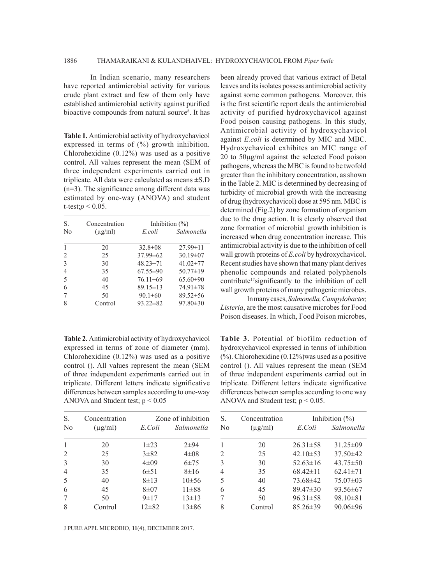In Indian scenario, many researchers have reported antimicrobial activity for various crude plant extract and few of them only have established antimicrobial activity against purified bioactive compounds from natural source<sup>8</sup>. It has

**Table 1.** Antimicrobial activity of hydroxychavicol expressed in terms of (%) growth inhibition. Chlorohexidine (0.12%) was used as a positive control. All values represent the mean (SEM of three independent experiments carried out in triplicate. All data were calculated as means ±S.D (n=3). The significance among different data was estimated by one-way (ANOVA) and student t-test; $p < 0.05$ .

| S.<br>N <sub>0</sub> | Concentration<br>$(\mu$ g/ml) | Inhibition $(\%)$ |                |
|----------------------|-------------------------------|-------------------|----------------|
|                      |                               | E.coli            | Salmonella     |
|                      | 20                            | $32.8 \pm 0.8$    | $27.99 \pm 11$ |
| 2                    | 25                            | $37.99\pm 62$     | $30.19 \pm 07$ |
| 3                    | 30                            | $48.23 \pm 71$    | $41.02 \pm 77$ |
| 4                    | 35                            | $67.55 \pm 90$    | $50.77 \pm 19$ |
| .5                   | 40                            | $76.11\pm 69$     | $65.60\pm90$   |
| 6                    | 45                            | $89.15 \pm 13$    | 74.91±78       |
|                      | 50                            | $90.1 \pm 60$     | $89.52 \pm 56$ |
| 8                    | Control                       | $93.22 \pm 82$    | $97.80 \pm 30$ |

**Table 2.** Antimicrobial activity of hydroxychavicol expressed in terms of zone of diameter (mm). Chlorohexidine (0.12%) was used as a positive control (). All values represent the mean (SEM of three independent experiments carried out in triplicate. Different letters indicate significative differences between samples according to one-way ANOVA and Student test;  $p < 0.05$ 

| S.<br>N <sub>0</sub> | Concentration<br>$(\mu g/ml)$ | E Coli     | Zone of inhibition<br>Salmonella |
|----------------------|-------------------------------|------------|----------------------------------|
| 1                    | 20                            | $1\pm 23$  | $2 + 94$                         |
| 2                    | 25                            | $3 + 82$   | $4 \pm 08$                       |
| 3                    | 30                            | $4 \pm 09$ | $6 + 75$                         |
| $\overline{4}$       | 35                            | 6±51       | $8 \pm 16$                       |
| 5                    | 40                            | $8 + 13$   | $10\pm 56$                       |
| 6                    | 45                            | $8 + 07$   | $11\pm 88$                       |
| 7                    | 50                            | $9 \pm 17$ | $13\pm13$                        |
| 8                    | Control                       | $12\pm 82$ | $13\pm86$                        |

J PURE APPL MICROBIO*,* **11**(4), DECEMBER 2017.

been already proved that various extract of Betal leaves and its isolates possess antimicrobial activity against some common pathogens. Moreover, this is the first scientific report deals the antimicrobial activity of purified hydroxychavicol against Food poison causing pathogens. In this study, Antimicrobial activity of hydroxychavicol against *E.coli* is determined by MIC and MBC. Hydroxychavicol exhibites an MIC range of 20 to 50µg/ml against the selected Food poison pathogens, whereas the MBC is found to be twofold greater than the inhibitory concentration, as shown in the Table 2. MIC is determined by decreasing of turbidity of microbial growth with the increasing of drug (hydroxychavicol) dose at 595 nm. MBC is determined (Fig.2) by zone formation of organism due to the drug action. It is clearly observed that zone formation of microbial growth inhibition is increased when drug concentration increase. This antimicrobial activity is due to the inhibition of cell wall growth proteins of *E.coli* by hydroxychavicol. Recent studies have shown that many plant derives phenolic compounds and related polyphenols contribute<sup>17</sup>significantly to the inhibition of cell wall growth proteins of many pathogenic microbes.

In many cases, *Salmonella, Campylobacter, Listeria*, are the most causative microbes for Food Poison diseases. In which, Food Poison microbes,

**Table 3.** Potential of biofilm reduction of hydroxychavicol expressed in terms of inhibition  $(\%)$ . Chlorohexidine  $(0.12\%)$  was used as a positive control (). All values represent the mean (SEM of three independent experiments carried out in triplicate. Different letters indicate significative differences between samples according to one way ANOVA and Student test;  $p < 0.05$ .

| S.<br>N <sub>0</sub> | Concentration<br>$(\mu g/ml)$ | Inhibition $(\% )$ |                |  |
|----------------------|-------------------------------|--------------------|----------------|--|
|                      |                               | E.Coli             | Salmonella     |  |
|                      | 20                            | $26.31 \pm 58$     | $31.25\pm09$   |  |
| $\mathfrak{D}$       | 25                            | 42.10 $\pm$ 53     | $37.50 \pm 42$ |  |
| 3                    | 30                            | $52.63 \pm 16$     | $43.75 \pm 50$ |  |
| 4                    | 35                            | $68.42 \pm 11$     | $62.41 \pm 71$ |  |
| 5                    | 40                            | 73.68±42           | $75.07\pm03$   |  |
| 6                    | 45                            | $89.47 \pm 30$     | 93.56±67       |  |
|                      | 50                            | $96.31 \pm 58$     | $98.10 \pm 81$ |  |
| 8                    | Control                       | $85.26 \pm 39$     | $90.06 \pm 96$ |  |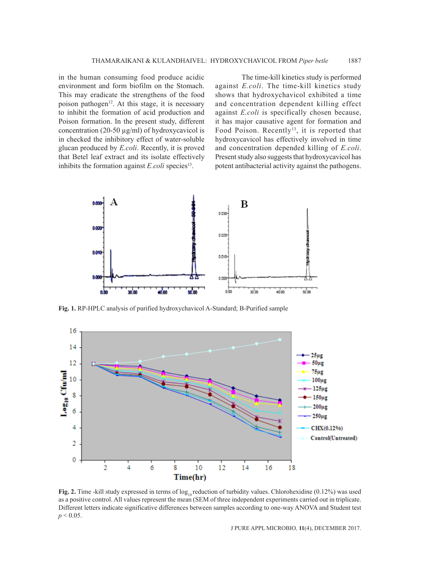in the human consuming food produce acidic environment and form biofilm on the Stomach. This may eradicate the strengthens of the food poison pathogen<sup>12</sup>. At this stage, it is necessary to inhibit the formation of acid production and Poison formation. In the present study, different concentration (20-50 µg/ml) of hydroxycavicol is in checked the inhibitory effect of water-soluble glucan produced by *E.coli*. Recently, it is proved that Betel leaf extract and its isolate effectively inhibits the formation against  $E.$ *coli* species<sup>13</sup>.

The time-kill kinetics study is performed against *E.coli*. The time-kill kinetics study shows that hydroxychavicol exhibited a time and concentration dependent killing effect against *E.coli* is specifically chosen because, it has major causative agent for formation and Food Poison. Recently<sup>13</sup>, it is reported that hydroxycavicol has effectively involved in time and concentration depended killing of *E.coli*. Present study also suggests that hydroxycavicol has potent antibacterial activity against the pathogens.



**Fig. 1.** RP-HPLC analysis of purified hydroxychavicol A-Standard; B-Purified sample



**Fig. 2.** Time -kill study expressed in terms of  $log_{10}$  reduction of turbidity values. Chlorohexidine (0.12%) was used as a positive control. All values represent the mean (SEM of three independent experiments carried out in triplicate. Different letters indicate significative differences between samples according to one-way ANOVA and Student test  $p < 0.05$ .

J PURE APPL MICROBIO*,* **11**(4), DECEMBER 2017.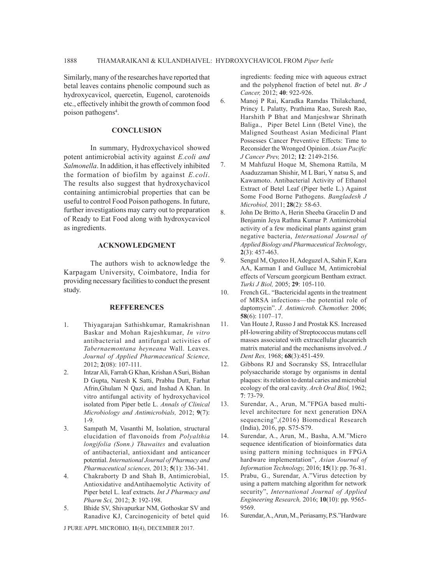Similarly, many of the researches have reported that betal leaves contains phenolic compound such as hydroxycavicol, quercetin, Eugenol, carotenoids etc., effectively inhibit the growth of common food poison pathogens<sup>4</sup>.

## **CONCLUSION**

In summary, Hydroxychavicol showed potent antimicrobial activity against *E.coli and Salmonella*. In addition, it has effectively inhibited the formation of biofilm by against *E.coli*. The results also suggest that hydroxychavicol containing antimicrobial properties that can be useful to control Food Poison pathogens. In future, further investigations may carry out to preparation of Ready to Eat Food along with hydroxycavicol as ingredients.

#### **ACKNOWLEDGMENT**

The authors wish to acknowledge the Karpagam University, Coimbatore, India for providing necessary facilities to conduct the present study.

#### **REFFERENCES**

- 1. Thiyagarajan Sathishkumar, Ramakrishnan Baskar and Mohan Rajeshkumar, *In vitro* antibacterial and antifungal activities of *Tabernaemontana heyneana* Wall. Leaves. *Journal of Applied Pharmaceutical Science,*  2012; **2**(08): 107-111.
- 2. Intzar Ali, Farrah G Khan, Krishan A Suri, Bishan D Gupta, Naresh K Satti, Prabhu Dutt, Farhat Afrin,Ghulam N Qazi, and Inshad A Khan. In vitro antifungal activity of hydroxychavicol isolated from Piper betle L. *Annals of Clinical Microbiology and Antimicrobials,* 2012; **9**(7): 1-9.
- 3. Sampath M, Vasanthi M, Isolation, structural elucidation of flavonoids from *Polyalthia longifolia (Sonn.) Thawaites* and evaluation of antibacterial, antioxidant and anticancer potential. *International Journal of Pharmacy and Pharmaceutical sciences,* 2013; **5**(1): 336-341.
- 4. Chakraborty D and Shah B, Antimicrobial, Antioxidative andAntihaemolytic Activity of Piper betel L. leaf extracts. *Int J Pharmacy and Pharm Sci,* 2012; **3**: 192-198.
- 5. Bhide SV, Shivapurkar NM, Gothoskar SV and Ranadive KJ, Carcinogenicity of betel quid

ingredients: feeding mice with aqueous extract and the polyphenol fraction of betel nut. *Br J Cancer,* 2012; **40**: 922-926.

- 6. Manoj P Rai, Karadka Ramdas Thilakchand, Princy L Palatty, Prathima Rao, Suresh Rao, Harshith P Bhat and Manjeshwar Shrinath Baliga., Piper Betel Linn (Betel Vine), the Maligned Southeast Asian Medicinal Plant Possesses Cancer Preventive Effects: Time to Reconsider the Wronged Opinion. *Asian Pacific J Cancer Prev,* 2012; **12**: 2149-2156.
- 7. M Mahfuzul Hoque M, Shemona Rattila, M Asaduzzaman Shishir, M L Bari, Y natsu S, and Kawamoto. Antibacterial Activity of Ethanol Extract of Betel Leaf (Piper betle L.) Against Some Food Borne Pathogens. *Bangladesh J Microbiol,* 2011; **28**(2): 58-63.
- 8. John De Britto A, Herin Sheeba Gracelin D and Benjamin Jeya Rathna Kumar P. Antimicrobial activity of a few medicinal plants against gram negative bacteria, *International Journal of Applied Biology and Pharmaceutical Technology*, **2**(3): 457-463.
- 9. Sengul M, Oguteo H, Adeguzel A, Sahin F, Kara AA, Karman I and Gulluce M, Antimicrobial effects of Verscum georgicum Bentham extract. *Turki J Biol,* 2005; **29**: 105-110.
- 10. French GL. "Bactericidal agents in the treatment of MRSA infections—the potential role of daptomycin". *J. Antimicrob. Chemother.* 2006; **58**(6): 1107–17.
- 11. Van Houte J, Russo J and Prostak KS. Increased pH-lowering ability of Streptococcus mutans cell masses associated with extracellular glucanrich matrix material and the mechanisms involved. *J Dent Res,* 1968; **68**(3):451-459.
- 12. Gibbons RJ and Socransky SS, Intracellular polysaccharide storage by organisms in dental plaques: its relation to dental caries and microbial ecology of the oral cavity. *Arch Oral Biol,* 1962; **7**: 73-79.
- 13. Surendar, A., Arun, M."FPGA based multilevel architecture for next generation DNA sequencing",(2016) Biomedical Research (India), 2016, pp. S75-S79.
- 14. Surendar, A., Arun, M., Basha, A.M."Micro sequence identification of bioinformatics data using pattern mining techniques in FPGA hardware implementation", *Asian Journal of Information Technology,* 2016; **15**(1): pp. 76-81.
- 15. Prabu, G., Surendar, A."Virus detection by using a pattern matching algorithm for network security", *International Journal of Applied Engineering Research,* 2016; **10**(10): pp. 9565- 9569.
- 16. Surendar, A., Arun, M., Periasamy, P.S."Hardware

J PURE APPL MICROBIO*,* **11**(4), DECEMBER 2017.